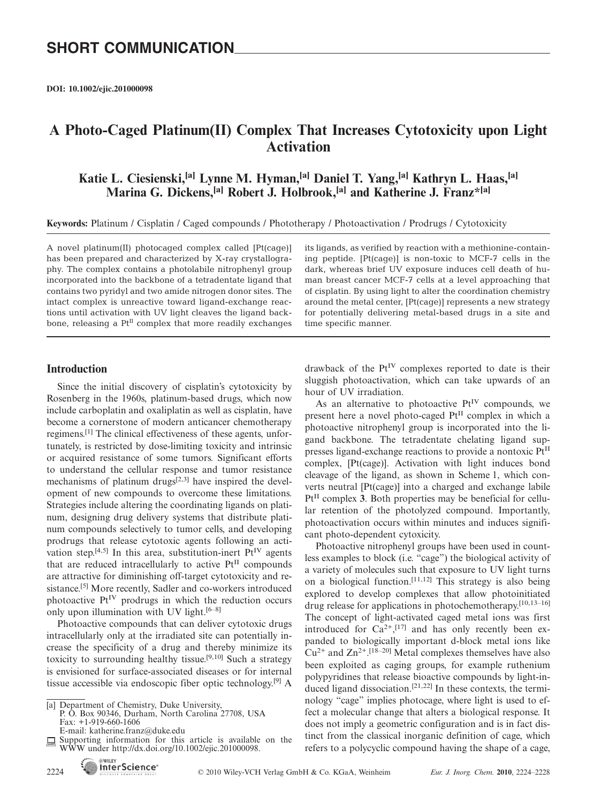**DOI: 10.1002/ejic.201000098**

### **A Photo-Caged Platinum(II) Complex That Increases Cytotoxicity upon Light Activation**

**Katie L. Ciesienski,[a] Lynne M. Hyman,[a] Daniel T. Yang,[a] Kathryn L. Haas,[a] Marina G. Dickens,[a] Robert J. Holbrook,[a] and Katherine J. Franz\*[a]**

**Keywords:** Platinum / Cisplatin / Caged compounds / Phototherapy / Photoactivation / Prodrugs / Cytotoxicity

A novel platinum(II) photocaged complex called [Pt(cage)] has been prepared and characterized by X-ray crystallography. The complex contains a photolabile nitrophenyl group incorporated into the backbone of a tetradentate ligand that contains two pyridyl and two amide nitrogen donor sites. The intact complex is unreactive toward ligand-exchange reactions until activation with UV light cleaves the ligand backbone, releasing a  $Pt<sup>H</sup>$  complex that more readily exchanges

**Introduction**

Since the initial discovery of cisplatin's cytotoxicity by Rosenberg in the 1960s, platinum-based drugs, which now include carboplatin and oxaliplatin as well as cisplatin, have become a cornerstone of modern anticancer chemotherapy regimens.[1] The clinical effectiveness of these agents, unfortunately, is restricted by dose-limiting toxicity and intrinsic or acquired resistance of some tumors. Significant efforts to understand the cellular response and tumor resistance mechanisms of platinum drugs<sup>[2,3]</sup> have inspired the development of new compounds to overcome these limitations. Strategies include altering the coordinating ligands on platinum, designing drug delivery systems that distribute platinum compounds selectively to tumor cells, and developing prodrugs that release cytotoxic agents following an activation step.<sup>[4,5]</sup> In this area, substitution-inert  $Pt^{\rm IV}$  agents that are reduced intracellularly to active  $Pt<sup>H</sup>$  compounds are attractive for diminishing off-target cytotoxicity and resistance.[5] More recently, Sadler and co-workers introduced photoactive  $Pt^{IV}$  prodrugs in which the reduction occurs only upon illumination with UV light. $[6-8]$ 

Photoactive compounds that can deliver cytotoxic drugs intracellularly only at the irradiated site can potentially increase the specificity of a drug and thereby minimize its toxicity to surrounding healthy tissue.[9,10] Such a strategy is envisioned for surface-associated diseases or for internal tissue accessible via endoscopic fiber optic technology.[9] A

P. O. Box 90346, Durham, North Carolina 27708, USA Fax: +1-919-660-1606

E-mail: katherine.franz@duke.edu

**WILEY** 

its ligands, as verified by reaction with a methionine-containing peptide. [Pt(cage)] is non-toxic to MCF-7 cells in the dark, whereas brief UV exposure induces cell death of human breast cancer MCF-7 cells at a level approaching that of cisplatin. By using light to alter the coordination chemistry around the metal center, [Pt(cage)] represents a new strategy for potentially delivering metal-based drugs in a site and time specific manner.

drawback of the  $Pt^{IV}$  complexes reported to date is their sluggish photoactivation, which can take upwards of an hour of UV irradiation.

As an alternative to photoactive  $Pt^{IV}$  compounds, we present here a novel photo-caged PtII complex in which a photoactive nitrophenyl group is incorporated into the ligand backbone. The tetradentate chelating ligand suppresses ligand-exchange reactions to provide a nontoxic PtII complex, [Pt(cage)]. Activation with light induces bond cleavage of the ligand, as shown in Scheme 1, which converts neutral [Pt(cage)] into a charged and exchange labile  $Pt<sup>II</sup>$  complex 3. Both properties may be beneficial for cellular retention of the photolyzed compound. Importantly, photoactivation occurs within minutes and induces significant photo-dependent cytoxicity.

Photoactive nitrophenyl groups have been used in countless examples to block (i.e. "cage") the biological activity of a variety of molecules such that exposure to UV light turns on a biological function.<sup>[11,12]</sup> This strategy is also being explored to develop complexes that allow photoinitiated drug release for applications in photochemotherapy.[10,13–16] The concept of light-activated caged metal ions was first introduced for  $Ca^{2+}, [17]$  and has only recently been expanded to biologically important d-block metal ions like  $Cu^{2+}$  and  $Zn^{2+}$ .<sup>[18-20]</sup> Metal complexes themselves have also been exploited as caging groups, for example ruthenium polypyridines that release bioactive compounds by light-induced ligand dissociation.[21,22] In these contexts, the terminology "cage" implies photocage, where light is used to effect a molecular change that alters a biological response. It does not imply a geometric configuration and is in fact distinct from the classical inorganic definition of cage, which refers to a polycyclic compound having the shape of a cage,

<sup>[</sup>a] Department of Chemistry, Duke University,

Supporting information for this article is available on the WWW under http://dx.doi.org/10.1002/ejic.201000098.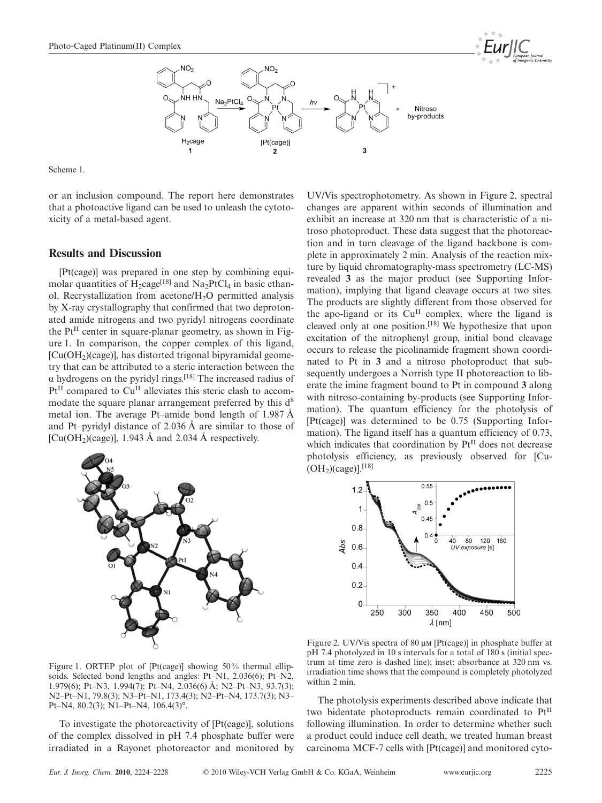

Scheme 1.

or an inclusion compound. The report here demonstrates that a photoactive ligand can be used to unleash the cytotoxicity of a metal-based agent.

#### **Results and Discussion**

[Pt(cage)] was prepared in one step by combining equimolar quantities of  $H_2cage^{[18]}$  and  $Na_2PtCl_4$  in basic ethanol. Recrystallization from acetone/ $H_2O$  permitted analysis by X-ray crystallography that confirmed that two deprotonated amide nitrogens and two pyridyl nitrogens coordinate the  $Pt<sup>II</sup>$  center in square-planar geometry, as shown in Figure 1. In comparison, the copper complex of this ligand,  $[Cu(OH<sub>2</sub>)(cage)]$ , has distorted trigonal bipyramidal geometry that can be attributed to a steric interaction between the  $\alpha$  hydrogens on the pyridyl rings.<sup>[18]</sup> The increased radius of  $Pt<sup>II</sup>$  compared to Cu<sup>II</sup> alleviates this steric clash to accommodate the square planar arrangement preferred by this  $d^8$ metal ion. The average Pt–amide bond length of 1.987 Å and Pt–pyridyl distance of 2.036 Å are similar to those of [Cu(OH<sub>2</sub>)(cage)], 1.943 Å and 2.034 Å respectively.



Figure 1. ORTEP plot of [Pt(cage)] showing 50% thermal ellipsoids. Selected bond lengths and angles: Pt–N1, 2.036(6); Pt–N2, 1.979(6); Pt–N3, 1.994(7); Pt–N4, 2.036(6) Å; N2–Pt–N3, 93.7(3); N2–Pt–N1, 79.8(3); N3–Pt–N1, 173.4(3); N2–Pt–N4, 173.7(3); N3– Pt–N4, 80.2(3); N1–Pt–N4, 106.4(3)°.

To investigate the photoreactivity of [Pt(cage)], solutions of the complex dissolved in pH 7.4 phosphate buffer were irradiated in a Rayonet photoreactor and monitored by UV/Vis spectrophotometry. As shown in Figure 2, spectral changes are apparent within seconds of illumination and exhibit an increase at 320 nm that is characteristic of a nitroso photoproduct. These data suggest that the photoreaction and in turn cleavage of the ligand backbone is complete in approximately 2 min. Analysis of the reaction mixture by liquid chromatography-mass spectrometry (LC-MS) revealed **3** as the major product (see Supporting Information), implying that ligand cleavage occurs at two sites. The products are slightly different from those observed for the apo-ligand or its  $Cu<sup>H</sup>$  complex, where the ligand is cleaved only at one position.<sup>[18]</sup> We hypothesize that upon excitation of the nitrophenyl group, initial bond cleavage occurs to release the picolinamide fragment shown coordinated to Pt in **3** and a nitroso photoproduct that subsequently undergoes a Norrish type II photoreaction to liberate the imine fragment bound to Pt in compound **3** along with nitroso-containing by-products (see Supporting Information). The quantum efficiency for the photolysis of [Pt(cage)] was determined to be 0.75 (Supporting Information). The ligand itself has a quantum efficiency of 0.73, which indicates that coordination by PtII does not decrease photolysis efficiency, as previously observed for [Cu-  $(OH<sub>2</sub>)(cage)$ ].<sup>[18]</sup>



Figure 2. UV/Vis spectra of 80  $\mu$ M [Pt(cage)] in phosphate buffer at pH 7.4 photolyzed in 10 s intervals for a total of 180 s (initial spectrum at time zero is dashed line); inset: absorbance at 320 nm vs. irradiation time shows that the compound is completely photolyzed within 2 min.

The photolysis experiments described above indicate that two bidentate photoproducts remain coordinated to PtII following illumination. In order to determine whether such a product could induce cell death, we treated human breast carcinoma MCF-7 cells with [Pt(cage)] and monitored cyto-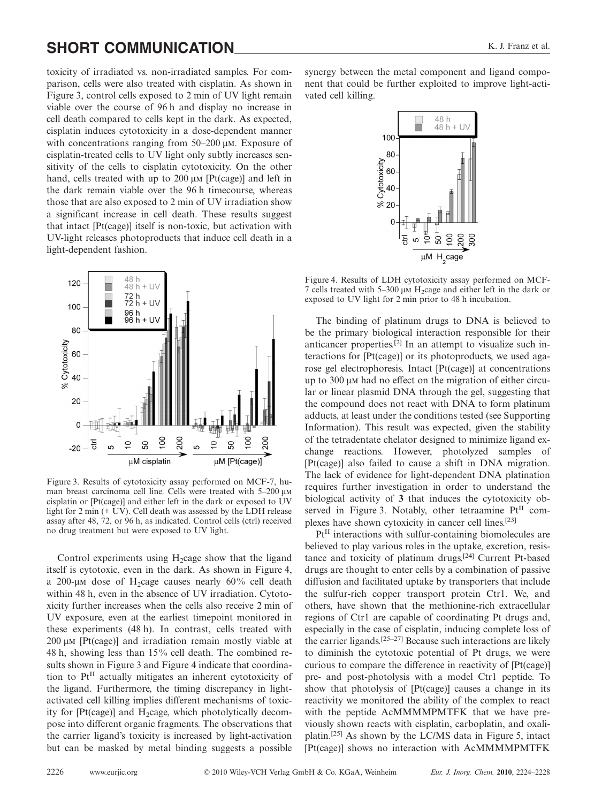# **SHORT COMMUNICATION** K. J. Franz et al.

toxicity of irradiated vs. non-irradiated samples. For comparison, cells were also treated with cisplatin. As shown in Figure 3, control cells exposed to 2 min of UV light remain viable over the course of 96 h and display no increase in cell death compared to cells kept in the dark. As expected, cisplatin induces cytotoxicity in a dose-dependent manner with concentrations ranging from  $50-200 \mu M$ . Exposure of cisplatin-treated cells to UV light only subtly increases sensitivity of the cells to cisplatin cytotoxicity. On the other hand, cells treated with up to  $200 \mu M$  [Pt(cage)] and left in the dark remain viable over the 96 h timecourse, whereas those that are also exposed to 2 min of UV irradiation show a significant increase in cell death. These results suggest that intact [Pt(cage)] itself is non-toxic, but activation with UV-light releases photoproducts that induce cell death in a light-dependent fashion.



Figure 3. Results of cytotoxicity assay performed on MCF-7, human breast carcinoma cell line. Cells were treated with 5–200  $\mu$ M cisplatin or [Pt(cage)] and either left in the dark or exposed to UV light for 2 min (+ UV). Cell death was assessed by the LDH release assay after 48, 72, or 96 h, as indicated. Control cells (ctrl) received no drug treatment but were exposed to UV light.

Control experiments using  $H_2$ cage show that the ligand itself is cytotoxic, even in the dark. As shown in Figure 4, a 200-µM dose of H<sub>2</sub>cage causes nearly  $60\%$  cell death within 48 h, even in the absence of UV irradiation. Cytotoxicity further increases when the cells also receive 2 min of UV exposure, even at the earliest timepoint monitored in these experiments (48 h). In contrast, cells treated with  $200 \mu M$  [Pt(cage)] and irradiation remain mostly viable at 48 h, showing less than 15% cell death. The combined results shown in Figure 3 and Figure 4 indicate that coordination to Pt<sup>II</sup> actually mitigates an inherent cytotoxicity of the ligand. Furthermore, the timing discrepancy in lightactivated cell killing implies different mechanisms of toxicity for  $[Pt(cage)]$  and  $H_2cage$ , which photolytically decompose into different organic fragments. The observations that the carrier ligand's toxicity is increased by light-activation but can be masked by metal binding suggests a possible

synergy between the metal component and ligand component that could be further exploited to improve light-activated cell killing.



Figure 4. Results of LDH cytotoxicity assay performed on MCF-7 cells treated with 5–300  $\mu$ M H<sub>2</sub>cage and either left in the dark or exposed to UV light for 2 min prior to 48 h incubation.

The binding of platinum drugs to DNA is believed to be the primary biological interaction responsible for their anticancer properties.[2] In an attempt to visualize such interactions for [Pt(cage)] or its photoproducts, we used agarose gel electrophoresis. Intact [Pt(cage)] at concentrations up to  $300 \mu$ M had no effect on the migration of either circular or linear plasmid DNA through the gel, suggesting that the compound does not react with DNA to form platinum adducts, at least under the conditions tested (see Supporting Information). This result was expected, given the stability of the tetradentate chelator designed to minimize ligand exchange reactions. However, photolyzed samples of [Pt(cage)] also failed to cause a shift in DNA migration. The lack of evidence for light-dependent DNA platination requires further investigation in order to understand the biological activity of **3** that induces the cytotoxicity observed in Figure 3. Notably, other tetraamine  $Pt^{II}$  complexes have shown cytoxicity in cancer cell lines.[23]

 $Pt<sup>II</sup>$  interactions with sulfur-containing biomolecules are believed to play various roles in the uptake, excretion, resistance and toxicity of platinum drugs.[24] Current Pt-based drugs are thought to enter cells by a combination of passive diffusion and facilitated uptake by transporters that include the sulfur-rich copper transport protein Ctr1. We, and others, have shown that the methionine-rich extracellular regions of Ctr1 are capable of coordinating Pt drugs and, especially in the case of cisplatin, inducing complete loss of the carrier ligands.[25–27] Because such interactions are likely to diminish the cytotoxic potential of Pt drugs, we were curious to compare the difference in reactivity of [Pt(cage)] pre- and post-photolysis with a model Ctr1 peptide. To show that photolysis of [Pt(cage)] causes a change in its reactivity we monitored the ability of the complex to react with the peptide AcMMMMPMTFK that we have previously shown reacts with cisplatin, carboplatin, and oxaliplatin.[25] As shown by the LC/MS data in Figure 5, intact [Pt(cage)] shows no interaction with AcMMMMPMTFK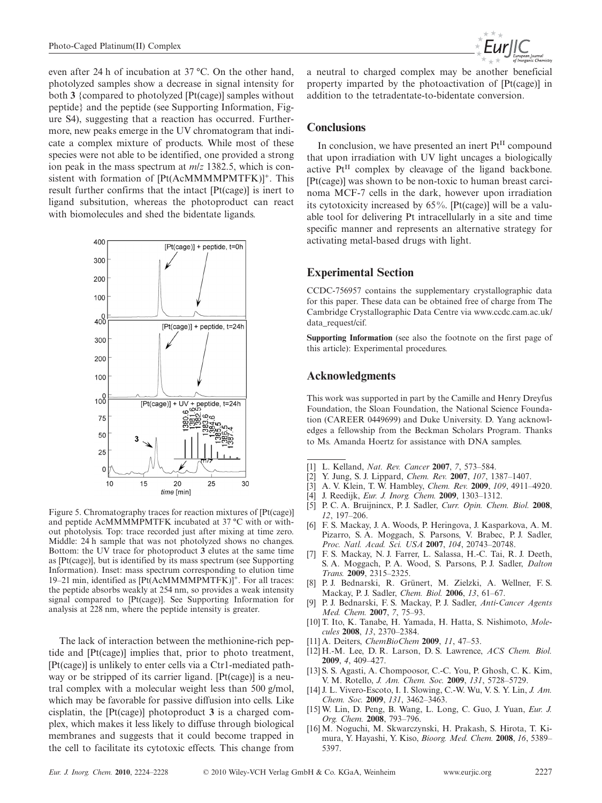even after 24 h of incubation at 37 °C. On the other hand, photolyzed samples show a decrease in signal intensity for both **3** {compared to photolyzed [Pt(cage)] samples without peptide} and the peptide (see Supporting Information, Figure S4), suggesting that a reaction has occurred. Furthermore, new peaks emerge in the UV chromatogram that indicate a complex mixture of products. While most of these species were not able to be identified, one provided a strong ion peak in the mass spectrum at *m*/*z* 1382.5, which is consistent with formation of  $[Pt(AcMMMPMTFK)]^+$ . This result further confirms that the intact [Pt(cage)] is inert to ligand subsitution, whereas the photoproduct can react with biomolecules and shed the bidentate ligands.



Figure 5. Chromatography traces for reaction mixtures of [Pt(cage)] and peptide AcMMMMPMTFK incubated at 37 °C with or without photolysis. Top: trace recorded just after mixing at time zero. Middle: 24 h sample that was not photolyzed shows no changes. Bottom: the UV trace for photoproduct **3** elutes at the same time as [Pt(cage)], but is identified by its mass spectrum (see Supporting Information). Inset: mass spectrum corresponding to elution time 19–21 min, identified as [Pt(AcMMMMPMTFK)]+. For all traces: the peptide absorbs weakly at 254 nm, so provides a weak intensity signal compared to [Pt(cage)]. See Supporting Information for analysis at 228 nm, where the peptide intensity is greater.

The lack of interaction between the methionine-rich peptide and [Pt(cage)] implies that, prior to photo treatment, [Pt(cage)] is unlikely to enter cells via a Ctr1-mediated pathway or be stripped of its carrier ligand. [Pt(cage)] is a neutral complex with a molecular weight less than 500 g/mol, which may be favorable for passive diffusion into cells. Like cisplatin, the [Pt(cage)] photoproduct **3** is a charged complex, which makes it less likely to diffuse through biological membranes and suggests that it could become trapped in the cell to facilitate its cytotoxic effects. This change from



a neutral to charged complex may be another beneficial property imparted by the photoactivation of [Pt(cage)] in addition to the tetradentate-to-bidentate conversion.

#### **Conclusions**

In conclusion, we have presented an inert  $Pt<sup>H</sup>$  compound that upon irradiation with UV light uncages a biologically active Pt<sup>II</sup> complex by cleavage of the ligand backbone. [Pt(cage)] was shown to be non-toxic to human breast carcinoma MCF-7 cells in the dark, however upon irradiation its cytotoxicity increased by 65%. [Pt(cage)] will be a valuable tool for delivering Pt intracellularly in a site and time specific manner and represents an alternative strategy for activating metal-based drugs with light.

### **Experimental Section**

CCDC-756957 contains the supplementary crystallographic data for this paper. These data can be obtained free of charge from The Cambridge Crystallographic Data Centre via www.ccdc.cam.ac.uk/ data\_request/cif.

**Supporting Information** (see also the footnote on the first page of this article): Experimental procedures.

#### **Acknowledgments**

This work was supported in part by the Camille and Henry Dreyfus Foundation, the Sloan Foundation, the National Science Foundation (CAREER 0449699) and Duke University. D. Yang acknowledges a fellowship from the Beckman Scholars Program. Thanks to Ms. Amanda Hoertz for assistance with DNA samples.

- [1] L. Kelland, *Nat. Rev. Cancer* **2007**, *7*, 573–584.
- [2] Y. Jung, S. J. Lippard, *Chem. Rev.* **2007**, *107*, 1387–1407.
- [3] A. V. Klein, T. W. Hambley, *Chem. Rev.* **2009**, *109*, 4911–4920.
- [4] J. Reedijk, *Eur. J. Inorg. Chem.* **2009**, 1303–1312.
- [5] P. C. A. Bruijnincx, P. J. Sadler, *Curr. Opin. Chem. Biol.* **2008**, *12*, 197–206.
- [6] F. S. Mackay, J. A. Woods, P. Heringova, J. Kasparkova, A. M. Pizarro, S. A. Moggach, S. Parsons, V. Brabec, P. J. Sadler, *Proc. Natl. Acad. Sci. USA* **2007**, *104*, 20743–20748.
- [7] F. S. Mackay, N. J. Farrer, L. Salassa, H.-C. Tai, R. J. Deeth, S. A. Moggach, P. A. Wood, S. Parsons, P. J. Sadler, *Dalton Trans.* **2009**, 2315–2325.
- [8] P. J. Bednarski, R. Grünert, M. Zielzki, A. Wellner, F. S. Mackay, P. J. Sadler, *Chem. Biol.* **2006**, *13*, 61–67.
- [9] P. J. Bednarski, F. S. Mackay, P. J. Sadler, *Anti-Cancer Agents Med. Chem.* **2007**, *7*, 75–93.
- [10] T. Ito, K. Tanabe, H. Yamada, H. Hatta, S. Nishimoto, *Molecules* **2008**, *13*, 2370–2384.
- [11] A. Deiters, *ChemBioChem* **2009**, *11*, 47–53.
- [12] H.-M. Lee, D. R. Larson, D. S. Lawrence, *ACS Chem. Biol.* **2009**, *4*, 409–427.
- [13] S. S. Agasti, A. Chompoosor, C.-C. You, P. Ghosh, C. K. Kim, V. M. Rotello, *J. Am. Chem. Soc.* **2009**, *131*, 5728–5729.
- [14] J. L. Vivero-Escoto, I. I. Slowing, C.-W. Wu, V. S. Y. Lin, *J. Am. Chem. Soc.* **2009**, *131*, 3462–3463.
- [15] W. Lin, D. Peng, B. Wang, L. Long, C. Guo, J. Yuan, *Eur. J. Org. Chem.* **2008**, 793–796.
- [16] M. Noguchi, M. Skwarczynski, H. Prakash, S. Hirota, T. Kimura, Y. Hayashi, Y. Kiso, *Bioorg. Med. Chem.* **2008**, *16*, 5389– 5397.